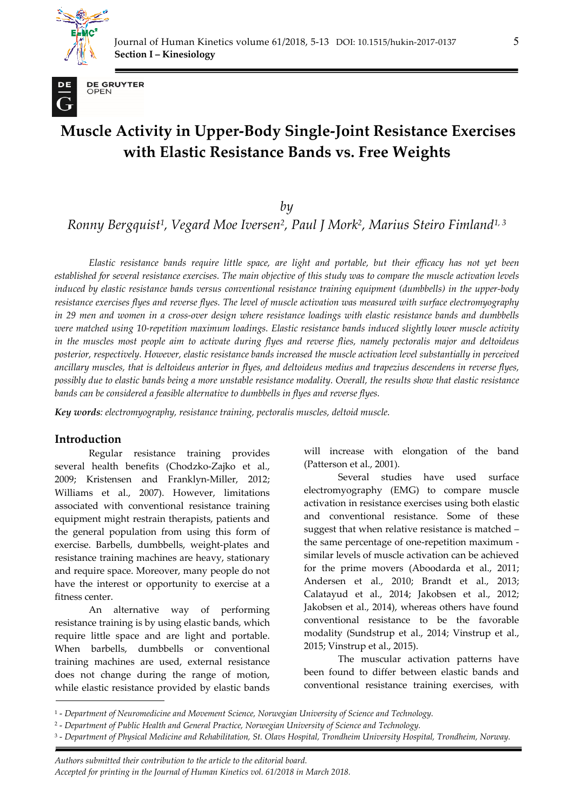



**DE GRUYTER** OPEN

# **Muscle Activity in Upper-Body Single-Joint Resistance Exercises with Elastic Resistance Bands vs. Free Weights**

*by* 

*Ronny Bergquist1, Vegard Moe Iversen2, Paul J Mork2, Marius Steiro Fimland1, 3*

*Elastic resistance bands require little space, are light and portable, but their efficacy has not yet been established for several resistance exercises. The main objective of this study was to compare the muscle activation levels induced by elastic resistance bands versus conventional resistance training equipment (dumbbells) in the upper-body resistance exercises flyes and reverse flyes. The level of muscle activation was measured with surface electromyography in 29 men and women in a cross-over design where resistance loadings with elastic resistance bands and dumbbells were matched using 10-repetition maximum loadings. Elastic resistance bands induced slightly lower muscle activity in the muscles most people aim to activate during flyes and reverse flies, namely pectoralis major and deltoideus posterior, respectively. However, elastic resistance bands increased the muscle activation level substantially in perceived ancillary muscles, that is deltoideus anterior in flyes, and deltoideus medius and trapezius descendens in reverse flyes, possibly due to elastic bands being a more unstable resistance modality. Overall, the results show that elastic resistance bands can be considered a feasible alternative to dumbbells in flyes and reverse flyes.* 

*Key words: electromyography, resistance training, pectoralis muscles, deltoid muscle.* 

### **Introduction**

*.* 

Regular resistance training provides several health benefits (Chodzko-Zajko et al., 2009; Kristensen and Franklyn-Miller, 2012; Williams et al., 2007). However, limitations associated with conventional resistance training equipment might restrain therapists, patients and the general population from using this form of exercise. Barbells, dumbbells, weight-plates and resistance training machines are heavy, stationary and require space. Moreover, many people do not have the interest or opportunity to exercise at a fitness center.

An alternative way of performing resistance training is by using elastic bands, which require little space and are light and portable. When barbells, dumbbells or conventional training machines are used, external resistance does not change during the range of motion, while elastic resistance provided by elastic bands will increase with elongation of the band (Patterson et al., 2001).

Several studies have used surface electromyography (EMG) to compare muscle activation in resistance exercises using both elastic and conventional resistance. Some of these suggest that when relative resistance is matched – the same percentage of one-repetition maximum similar levels of muscle activation can be achieved for the prime movers (Aboodarda et al., 2011; Andersen et al., 2010; Brandt et al., 2013; Calatayud et al., 2014; Jakobsen et al., 2012; Jakobsen et al., 2014), whereas others have found conventional resistance to be the favorable modality (Sundstrup et al., 2014; Vinstrup et al., 2015; Vinstrup et al., 2015).

The muscular activation patterns have been found to differ between elastic bands and conventional resistance training exercises, with

*Authors submitted their contribution to the article to the editorial board. Accepted for printing in the Journal of Human Kinetics vol. 61/2018 in March 2018.* 

<sup>1 -</sup> *Department of Neuromedicine and Movement Science, Norwegian University of Science and Technology.* 

<sup>2 -</sup> *Department of Public Health and General Practice, Norwegian University of Science and Technology.* 

<sup>3 -</sup> *Department of Physical Medicine and Rehabilitation, St. Olavs Hospital, Trondheim University Hospital, Trondheim, Norway.*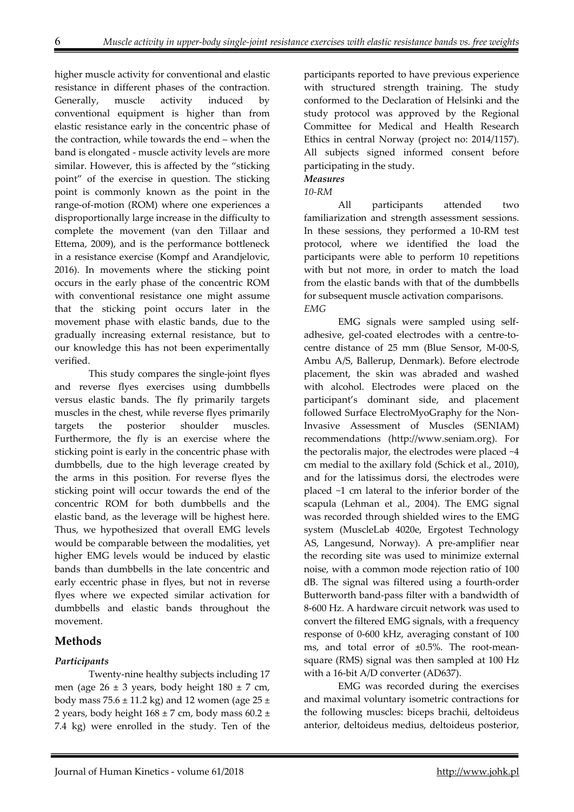higher muscle activity for conventional and elastic resistance in different phases of the contraction. Generally, muscle activity induced by conventional equipment is higher than from elastic resistance early in the concentric phase of the contraction, while towards the end – when the band is elongated - muscle activity levels are more similar. However, this is affected by the "sticking point" of the exercise in question. The sticking point is commonly known as the point in the range-of-motion (ROM) where one experiences a disproportionally large increase in the difficulty to complete the movement (van den Tillaar and Ettema, 2009), and is the performance bottleneck in a resistance exercise (Kompf and Arandjelovic, 2016). In movements where the sticking point occurs in the early phase of the concentric ROM with conventional resistance one might assume that the sticking point occurs later in the movement phase with elastic bands, due to the gradually increasing external resistance, but to our knowledge this has not been experimentally verified.

This study compares the single-joint flyes and reverse flyes exercises using dumbbells versus elastic bands. The fly primarily targets muscles in the chest, while reverse flyes primarily targets the posterior shoulder muscles. Furthermore, the fly is an exercise where the sticking point is early in the concentric phase with dumbbells, due to the high leverage created by the arms in this position. For reverse flyes the sticking point will occur towards the end of the concentric ROM for both dumbbells and the elastic band, as the leverage will be highest here. Thus, we hypothesized that overall EMG levels would be comparable between the modalities, yet higher EMG levels would be induced by elastic bands than dumbbells in the late concentric and early eccentric phase in flyes, but not in reverse flyes where we expected similar activation for dumbbells and elastic bands throughout the movement.

### **Methods**

#### *Participants*

 Twenty-nine healthy subjects including 17 men (age  $26 \pm 3$  years, body height  $180 \pm 7$  cm, body mass  $75.6 \pm 11.2$  kg) and 12 women (age  $25 \pm$ 2 years, body height  $168 \pm 7$  cm, body mass  $60.2 \pm$ 7.4 kg) were enrolled in the study. Ten of the participants reported to have previous experience with structured strength training. The study conformed to the Declaration of Helsinki and the study protocol was approved by the Regional Committee for Medical and Health Research Ethics in central Norway (project no: 2014/1157). All subjects signed informed consent before participating in the study.

#### *Measures 10-RM*

All participants attended two familiarization and strength assessment sessions. In these sessions, they performed a 10-RM test protocol, where we identified the load the participants were able to perform 10 repetitions with but not more, in order to match the load from the elastic bands with that of the dumbbells for subsequent muscle activation comparisons. *EMG* 

 EMG signals were sampled using selfadhesive, gel-coated electrodes with a centre-tocentre distance of 25 mm (Blue Sensor, M-00-S, Ambu A/S, Ballerup, Denmark). Before electrode placement, the skin was abraded and washed with alcohol. Electrodes were placed on the participant's dominant side, and placement followed Surface ElectroMyoGraphy for the Non-Invasive Assessment of Muscles (SENIAM) recommendations (http://www.seniam.org). For the pectoralis major, the electrodes were placed ~4 cm medial to the axillary fold (Schick et al., 2010), and for the latissimus dorsi, the electrodes were placed ~1 cm lateral to the inferior border of the scapula (Lehman et al., 2004). The EMG signal was recorded through shielded wires to the EMG system (MuscleLab 4020e, Ergotest Technology AS, Langesund, Norway). A pre-amplifier near the recording site was used to minimize external noise, with a common mode rejection ratio of 100 dB. The signal was filtered using a fourth-order Butterworth band-pass filter with a bandwidth of 8-600 Hz. A hardware circuit network was used to convert the filtered EMG signals, with a frequency response of 0-600 kHz, averaging constant of 100 ms, and total error of ±0.5%. The root-meansquare (RMS) signal was then sampled at 100 Hz with a 16-bit A/D converter (AD637).

EMG was recorded during the exercises and maximal voluntary isometric contractions for the following muscles: biceps brachii, deltoideus anterior, deltoideus medius, deltoideus posterior,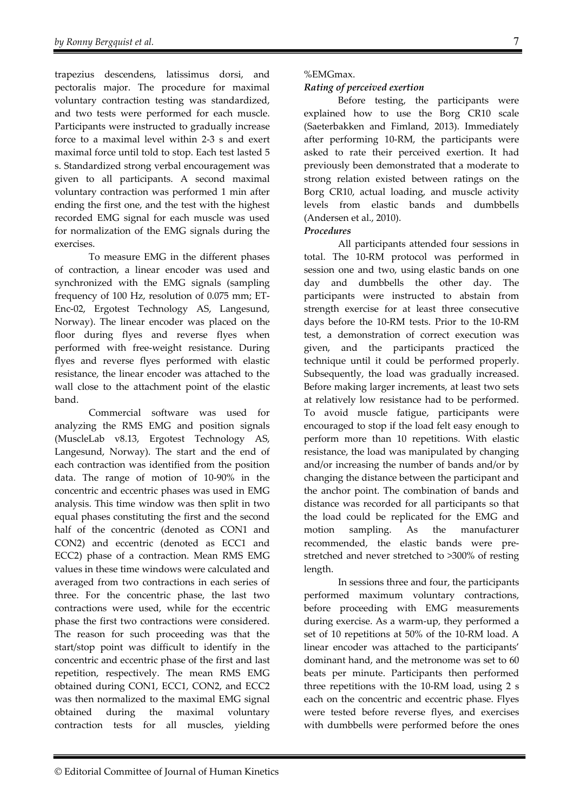trapezius descendens, latissimus dorsi, and pectoralis major. The procedure for maximal voluntary contraction testing was standardized, and two tests were performed for each muscle. Participants were instructed to gradually increase force to a maximal level within 2-3 s and exert maximal force until told to stop. Each test lasted 5 s. Standardized strong verbal encouragement was given to all participants. A second maximal voluntary contraction was performed 1 min after ending the first one, and the test with the highest recorded EMG signal for each muscle was used for normalization of the EMG signals during the exercises.

To measure EMG in the different phases of contraction, a linear encoder was used and synchronized with the EMG signals (sampling frequency of 100 Hz, resolution of 0.075 mm; ET-Enc-02, Ergotest Technology AS, Langesund, Norway). The linear encoder was placed on the floor during flyes and reverse flyes when performed with free-weight resistance. During flyes and reverse flyes performed with elastic resistance, the linear encoder was attached to the wall close to the attachment point of the elastic band.

Commercial software was used for analyzing the RMS EMG and position signals (MuscleLab v8.13, Ergotest Technology AS, Langesund, Norway). The start and the end of each contraction was identified from the position data. The range of motion of 10-90% in the concentric and eccentric phases was used in EMG analysis. This time window was then split in two equal phases constituting the first and the second half of the concentric (denoted as CON1 and CON2) and eccentric (denoted as ECC1 and ECC2) phase of a contraction. Mean RMS EMG values in these time windows were calculated and averaged from two contractions in each series of three. For the concentric phase, the last two contractions were used, while for the eccentric phase the first two contractions were considered. The reason for such proceeding was that the start/stop point was difficult to identify in the concentric and eccentric phase of the first and last repetition, respectively. The mean RMS EMG obtained during CON1, ECC1, CON2, and ECC2 was then normalized to the maximal EMG signal obtained during the maximal voluntary contraction tests for all muscles, yielding

#### %EMGmax.

#### *Rating of perceived exertion*

Before testing, the participants were explained how to use the Borg CR10 scale (Saeterbakken and Fimland, 2013). Immediately after performing 10-RM, the participants were asked to rate their perceived exertion. It had previously been demonstrated that a moderate to strong relation existed between ratings on the Borg CR10, actual loading, and muscle activity levels from elastic bands and dumbbells (Andersen et al., 2010).

#### *Procedures*

 All participants attended four sessions in total. The 10-RM protocol was performed in session one and two, using elastic bands on one day and dumbbells the other day. The participants were instructed to abstain from strength exercise for at least three consecutive days before the 10-RM tests. Prior to the 10-RM test, a demonstration of correct execution was given, and the participants practiced the technique until it could be performed properly. Subsequently, the load was gradually increased. Before making larger increments, at least two sets at relatively low resistance had to be performed. To avoid muscle fatigue, participants were encouraged to stop if the load felt easy enough to perform more than 10 repetitions. With elastic resistance, the load was manipulated by changing and/or increasing the number of bands and/or by changing the distance between the participant and the anchor point. The combination of bands and distance was recorded for all participants so that the load could be replicated for the EMG and motion sampling. As the manufacturer recommended, the elastic bands were prestretched and never stretched to >300% of resting length.

In sessions three and four, the participants performed maximum voluntary contractions, before proceeding with EMG measurements during exercise. As a warm-up, they performed a set of 10 repetitions at 50% of the 10-RM load. A linear encoder was attached to the participants' dominant hand, and the metronome was set to 60 beats per minute. Participants then performed three repetitions with the 10-RM load, using 2 s each on the concentric and eccentric phase. Flyes were tested before reverse flyes, and exercises with dumbbells were performed before the ones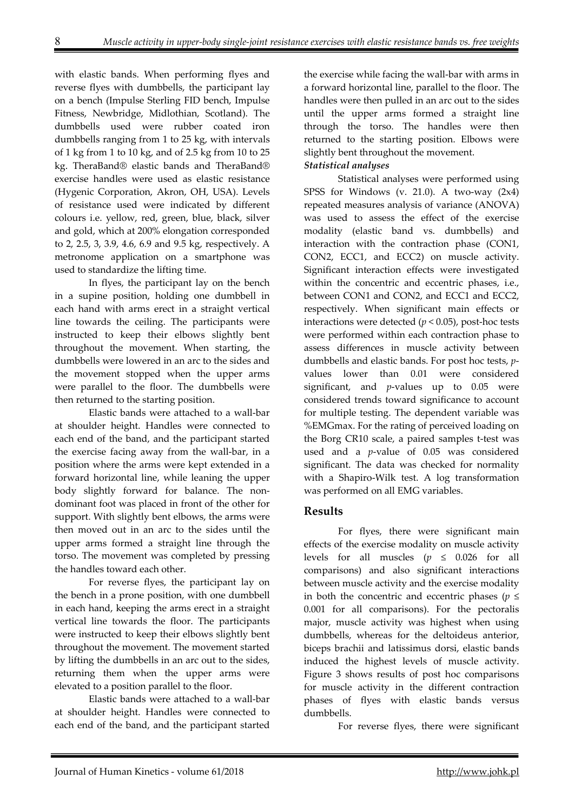with elastic bands. When performing flyes and reverse flyes with dumbbells, the participant lay on a bench (Impulse Sterling FID bench, Impulse Fitness, Newbridge, Midlothian, Scotland). The dumbbells used were rubber coated iron dumbbells ranging from 1 to 25 kg, with intervals of 1 kg from 1 to 10 kg, and of 2.5 kg from 10 to 25 kg. TheraBand® elastic bands and TheraBand® exercise handles were used as elastic resistance (Hygenic Corporation, Akron, OH, USA). Levels of resistance used were indicated by different colours i.e. yellow, red, green, blue, black, silver and gold, which at 200% elongation corresponded to 2, 2.5, 3, 3.9, 4.6, 6.9 and 9.5 kg, respectively. A metronome application on a smartphone was used to standardize the lifting time.

In flyes, the participant lay on the bench in a supine position, holding one dumbbell in each hand with arms erect in a straight vertical line towards the ceiling. The participants were instructed to keep their elbows slightly bent throughout the movement. When starting, the dumbbells were lowered in an arc to the sides and the movement stopped when the upper arms were parallel to the floor. The dumbbells were then returned to the starting position.

Elastic bands were attached to a wall-bar at shoulder height. Handles were connected to each end of the band, and the participant started the exercise facing away from the wall-bar, in a position where the arms were kept extended in a forward horizontal line, while leaning the upper body slightly forward for balance. The nondominant foot was placed in front of the other for support. With slightly bent elbows, the arms were then moved out in an arc to the sides until the upper arms formed a straight line through the torso. The movement was completed by pressing the handles toward each other.

For reverse flyes, the participant lay on the bench in a prone position, with one dumbbell in each hand, keeping the arms erect in a straight vertical line towards the floor. The participants were instructed to keep their elbows slightly bent throughout the movement. The movement started by lifting the dumbbells in an arc out to the sides, returning them when the upper arms were elevated to a position parallel to the floor.

Elastic bands were attached to a wall-bar at shoulder height. Handles were connected to each end of the band, and the participant started the exercise while facing the wall-bar with arms in a forward horizontal line, parallel to the floor. The handles were then pulled in an arc out to the sides until the upper arms formed a straight line through the torso. The handles were then returned to the starting position. Elbows were slightly bent throughout the movement.

#### *Statistical analyses*

 Statistical analyses were performed using SPSS for Windows (v. 21.0). A two-way (2x4) repeated measures analysis of variance (ANOVA) was used to assess the effect of the exercise modality (elastic band vs. dumbbells) and interaction with the contraction phase (CON1, CON2, ECC1, and ECC2) on muscle activity. Significant interaction effects were investigated within the concentric and eccentric phases, i.e., between CON1 and CON2, and ECC1 and ECC2, respectively. When significant main effects or interactions were detected  $(p < 0.05)$ , post-hoc tests were performed within each contraction phase to assess differences in muscle activity between dumbbells and elastic bands. For post hoc tests, *p*values lower than 0.01 were considered significant, and *p*-values up to 0.05 were considered trends toward significance to account for multiple testing. The dependent variable was %EMGmax. For the rating of perceived loading on the Borg CR10 scale, a paired samples t-test was used and a *p*-value of 0.05 was considered significant. The data was checked for normality with a Shapiro-Wilk test. A log transformation was performed on all EMG variables.

### **Results**

For flyes, there were significant main effects of the exercise modality on muscle activity levels for all muscles  $(p \le 0.026$  for all comparisons) and also significant interactions between muscle activity and the exercise modality in both the concentric and eccentric phases ( $p \leq$ 0.001 for all comparisons). For the pectoralis major, muscle activity was highest when using dumbbells, whereas for the deltoideus anterior, biceps brachii and latissimus dorsi, elastic bands induced the highest levels of muscle activity. Figure 3 shows results of post hoc comparisons for muscle activity in the different contraction phases of flyes with elastic bands versus dumbbells.

For reverse flyes, there were significant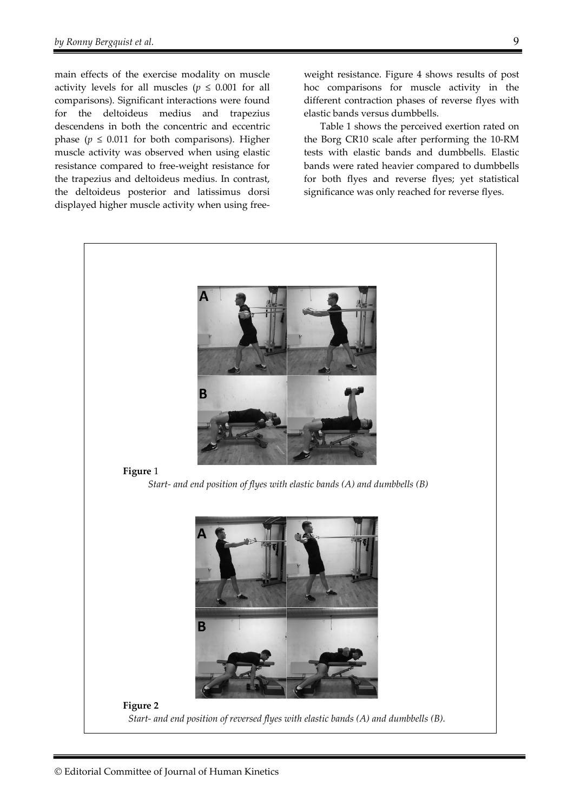main effects of the exercise modality on muscle activity levels for all muscles ( $p \leq 0.001$  for all comparisons). Significant interactions were found for the deltoideus medius and trapezius descendens in both the concentric and eccentric phase ( $p \leq 0.011$  for both comparisons). Higher muscle activity was observed when using elastic resistance compared to free-weight resistance for the trapezius and deltoideus medius. In contrast, the deltoideus posterior and latissimus dorsi displayed higher muscle activity when using free-

weight resistance. Figure 4 shows results of post hoc comparisons for muscle activity in the different contraction phases of reverse flyes with elastic bands versus dumbbells.

 Table 1 shows the perceived exertion rated on the Borg CR10 scale after performing the 10-RM tests with elastic bands and dumbbells. Elastic bands were rated heavier compared to dumbbells for both flyes and reverse flyes; yet statistical significance was only reached for reverse flyes.

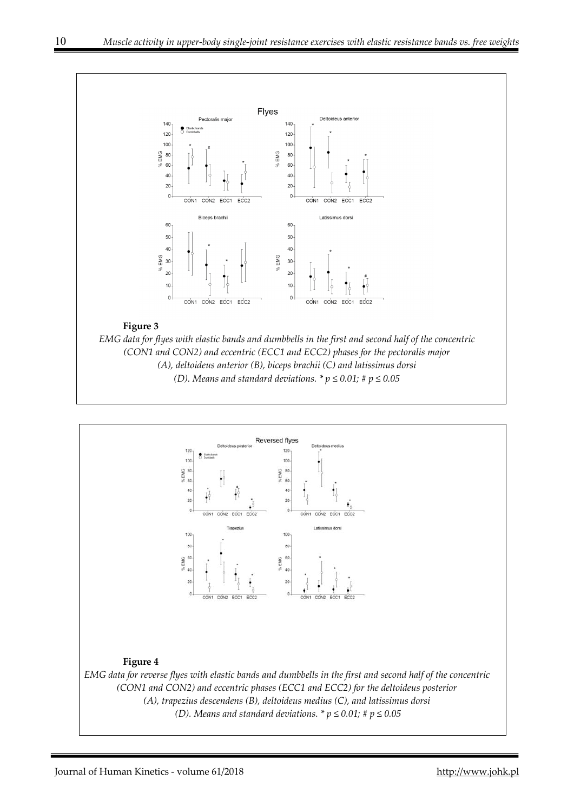

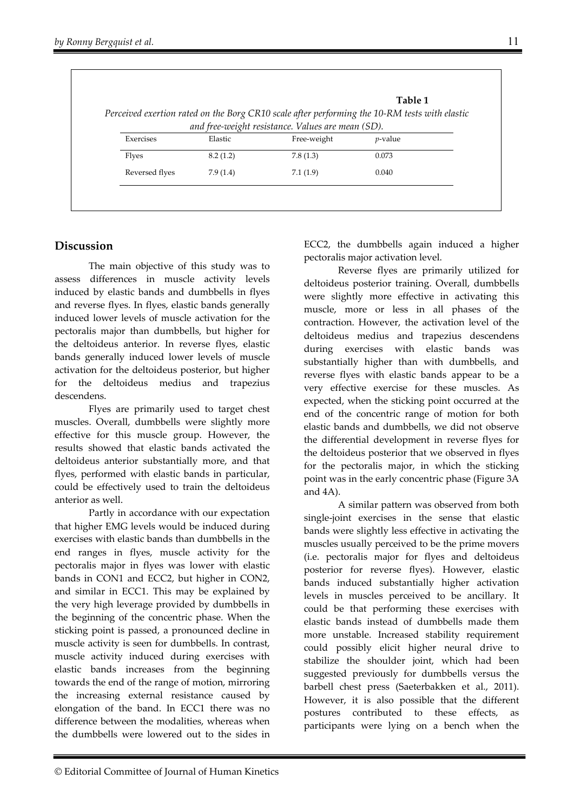| Perceived exertion rated on the Borg CR10 scale after performing the 10-RM tests with elastic |          |                                                   |            |
|-----------------------------------------------------------------------------------------------|----------|---------------------------------------------------|------------|
|                                                                                               |          | and free-weight resistance. Values are mean (SD). |            |
| Exercises                                                                                     | Elastic  | Free-weight                                       | $p$ -value |
| <b>Flyes</b>                                                                                  | 8.2(1.2) | 7.8(1.3)                                          | 0.073      |
| Reversed flyes                                                                                | 7.9(1.4) | 7.1(1.9)                                          | 0.040      |

## **Discussion**

The main objective of this study was to assess differences in muscle activity levels induced by elastic bands and dumbbells in flyes and reverse flyes. In flyes, elastic bands generally induced lower levels of muscle activation for the pectoralis major than dumbbells, but higher for the deltoideus anterior. In reverse flyes, elastic bands generally induced lower levels of muscle activation for the deltoideus posterior, but higher for the deltoideus medius and trapezius descendens.

Flyes are primarily used to target chest muscles. Overall, dumbbells were slightly more effective for this muscle group. However, the results showed that elastic bands activated the deltoideus anterior substantially more, and that flyes, performed with elastic bands in particular, could be effectively used to train the deltoideus anterior as well.

Partly in accordance with our expectation that higher EMG levels would be induced during exercises with elastic bands than dumbbells in the end ranges in flyes, muscle activity for the pectoralis major in flyes was lower with elastic bands in CON1 and ECC2, but higher in CON2, and similar in ECC1. This may be explained by the very high leverage provided by dumbbells in the beginning of the concentric phase. When the sticking point is passed, a pronounced decline in muscle activity is seen for dumbbells. In contrast, muscle activity induced during exercises with elastic bands increases from the beginning towards the end of the range of motion, mirroring the increasing external resistance caused by elongation of the band. In ECC1 there was no difference between the modalities, whereas when the dumbbells were lowered out to the sides in

ECC2, the dumbbells again induced a higher pectoralis major activation level.

Reverse flyes are primarily utilized for deltoideus posterior training. Overall, dumbbells were slightly more effective in activating this muscle, more or less in all phases of the contraction. However, the activation level of the deltoideus medius and trapezius descendens during exercises with elastic bands was substantially higher than with dumbbells, and reverse flyes with elastic bands appear to be a very effective exercise for these muscles. As expected, when the sticking point occurred at the end of the concentric range of motion for both elastic bands and dumbbells, we did not observe the differential development in reverse flyes for the deltoideus posterior that we observed in flyes for the pectoralis major, in which the sticking point was in the early concentric phase (Figure 3A and 4A).

A similar pattern was observed from both single-joint exercises in the sense that elastic bands were slightly less effective in activating the muscles usually perceived to be the prime movers (i.e. pectoralis major for flyes and deltoideus posterior for reverse flyes). However, elastic bands induced substantially higher activation levels in muscles perceived to be ancillary. It could be that performing these exercises with elastic bands instead of dumbbells made them more unstable. Increased stability requirement could possibly elicit higher neural drive to stabilize the shoulder joint, which had been suggested previously for dumbbells versus the barbell chest press (Saeterbakken et al., 2011). However, it is also possible that the different postures contributed to these effects, as participants were lying on a bench when the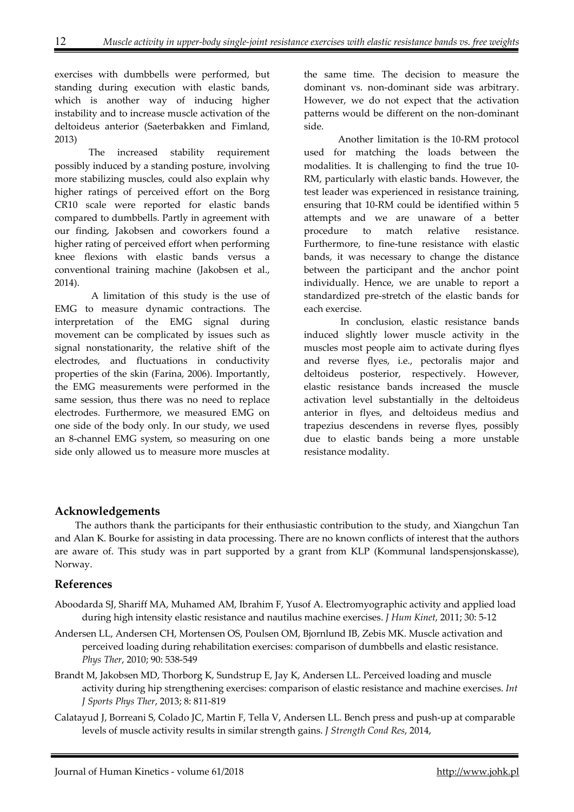exercises with dumbbells were performed, but standing during execution with elastic bands, which is another way of inducing higher instability and to increase muscle activation of the deltoideus anterior (Saeterbakken and Fimland, 2013)

The increased stability requirement possibly induced by a standing posture, involving more stabilizing muscles, could also explain why higher ratings of perceived effort on the Borg CR10 scale were reported for elastic bands compared to dumbbells. Partly in agreement with our finding, Jakobsen and coworkers found a higher rating of perceived effort when performing knee flexions with elastic bands versus a conventional training machine (Jakobsen et al., 2014).

 A limitation of this study is the use of EMG to measure dynamic contractions. The interpretation of the EMG signal during movement can be complicated by issues such as signal nonstationarity, the relative shift of the electrodes, and fluctuations in conductivity properties of the skin (Farina, 2006). Importantly, the EMG measurements were performed in the same session, thus there was no need to replace electrodes. Furthermore, we measured EMG on one side of the body only. In our study, we used an 8-channel EMG system, so measuring on one side only allowed us to measure more muscles at the same time. The decision to measure the dominant vs. non-dominant side was arbitrary. However, we do not expect that the activation patterns would be different on the non-dominant side.

Another limitation is the 10-RM protocol used for matching the loads between the modalities. It is challenging to find the true 10- RM, particularly with elastic bands. However, the test leader was experienced in resistance training, ensuring that 10-RM could be identified within 5 attempts and we are unaware of a better procedure to match relative resistance. Furthermore, to fine-tune resistance with elastic bands, it was necessary to change the distance between the participant and the anchor point individually. Hence, we are unable to report a standardized pre-stretch of the elastic bands for each exercise.

 In conclusion, elastic resistance bands induced slightly lower muscle activity in the muscles most people aim to activate during flyes and reverse flyes, i.e., pectoralis major and deltoideus posterior, respectively. However, elastic resistance bands increased the muscle activation level substantially in the deltoideus anterior in flyes, and deltoideus medius and trapezius descendens in reverse flyes, possibly due to elastic bands being a more unstable resistance modality.

## **Acknowledgements**

The authors thank the participants for their enthusiastic contribution to the study, and Xiangchun Tan and Alan K. Bourke for assisting in data processing. There are no known conflicts of interest that the authors are aware of. This study was in part supported by a grant from KLP (Kommunal landspensjonskasse), Norway.

## **References**

- Aboodarda SJ, Shariff MA, Muhamed AM, Ibrahim F, Yusof A. Electromyographic activity and applied load during high intensity elastic resistance and nautilus machine exercises. *J Hum Kinet*, 2011; 30: 5-12
- Andersen LL, Andersen CH, Mortensen OS, Poulsen OM, Bjornlund IB, Zebis MK. Muscle activation and perceived loading during rehabilitation exercises: comparison of dumbbells and elastic resistance. *Phys Ther*, 2010; 90: 538-549
- Brandt M, Jakobsen MD, Thorborg K, Sundstrup E, Jay K, Andersen LL. Perceived loading and muscle activity during hip strengthening exercises: comparison of elastic resistance and machine exercises. *Int J Sports Phys Ther*, 2013; 8: 811-819
- Calatayud J, Borreani S, Colado JC, Martin F, Tella V, Andersen LL. Bench press and push-up at comparable levels of muscle activity results in similar strength gains. *J Strength Cond Res*, 2014,